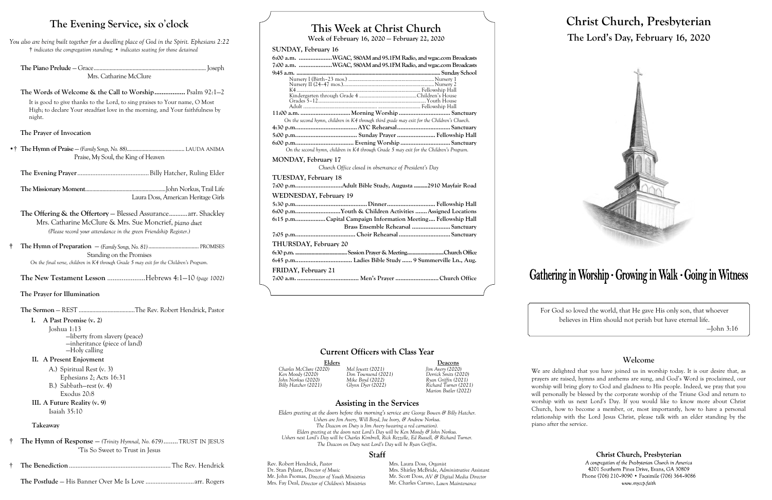# **This Week at Christ Church**

**Week of February 16, 2020 — February 22, 2020**

### **SUNDAY, February 16**

| 6:00 a.m. WGAC, 580AM and 95.1FM Radio, and wgac.com Broadcasts<br>7:00 a.m. WGAC, 580AM and 95.1FM Radio, and wgac.com Broadcasts |
|------------------------------------------------------------------------------------------------------------------------------------|
|                                                                                                                                    |
|                                                                                                                                    |
|                                                                                                                                    |
|                                                                                                                                    |
|                                                                                                                                    |
|                                                                                                                                    |
|                                                                                                                                    |
| On the second hymn, children in K4 through third grade may exit for the Children's Church.                                         |
|                                                                                                                                    |
|                                                                                                                                    |
|                                                                                                                                    |
| On the second hymn, children in K4 through Grade 5 may exit for the Children's Program.                                            |
| <b>MONDAY, February 17</b><br>Church Office closed in observance of President's Day                                                |
| TUESDAY, February 18                                                                                                               |
| 7:00 p.mAdult Bible Study, Augusta 2910 Mayfair Road                                                                               |
| <b>WEDNESDAY, February 19</b>                                                                                                      |
|                                                                                                                                    |
| 6:00 p.mYouth & Children Activities  Assigned Locations                                                                            |
| 6.15 p.mCapital Campaign Information Meeting Fellowship Hall                                                                       |
| Brass Ensemble Rehearsal  Sanctuary                                                                                                |
|                                                                                                                                    |
|                                                                                                                                    |
| THURSDAY, February 20                                                                                                              |
|                                                                                                                                    |
|                                                                                                                                    |
| FRIDAY, February 21                                                                                                                |
|                                                                                                                                    |
|                                                                                                                                    |

## **Current Officers with Class Year**

Elders **Deacons**<br>
20) Mel Jewett (2021) Jim Avery (2020) *Charles McClure (2020) Mel Jewett (2021) Jim Avery (2020) Billy Hatcher (2021) Glynn Dyer (2022) Richard Turner (2021) Marion Butler (2022)*

### **Assisting in the Services**

Rev. Robert Hendrick, *Pastor* Mrs. Laura Doss, *Organist*<br>
Dr. Stan Pylant, *Director of Music* Mrs. Shirley McBride, Adr Mr. John Psomas, *Director of Youth Ministries* Mrs. Fay Deal, *Director of Children's Ministries* Mr. Charles Caruso, *Lawn Maintenance*

Mrs. Shirley McBride, *Administrative Assistant* Mr. Scott Doss, *AV & Digital Media Director* 

# Gathering in Worship · Growing in Walk · Going in Witness

*Ken Moody (2020) Don Townsend (2021) Derrick Smits (2020) John Norkus (2020) Mike Boyd (2022) Ryan Griffin (2021)*

*Elders greeting at the doors before this morning's service are George Bowen & Billy Hatcher. Ushers are Jim Avery, Will Boyd, Joe Ivory, & Andrew Norkus. The Deacon on Duty is Jim Avery (wearing a red carnation). Elders greeting at the doors next Lord's Day will be Ken Moody & John Norkus. Ushers next Lord's Day will be Charles Kimbrell, Rick Rezzelle, Ed Russell, & Richard Turner. The Deacon on Duty next Lord's Day will be Ryan Griffin.*

### **Staff**

# **Christ Church, Presbyterian The Lord's Day, February 16, 2020**



For God so loved the world, that He gave His only son, that whoever believes in Him should not perish but have eternal life. —John 3:16

### **Welcome**

We are delighted that you have joined us in worship today. It is our desire that, as prayers are raised, hymns and anthems are sung, and God's Word is proclaimed, our worship will bring glory to God and gladness to His people. Indeed, we pray that you will personally be blessed by the corporate worship of the Triune God and return to worship with us next Lord's Day. If you would like to know more about Christ Church, how to become a member, or, most importantly, how to have a personal relationship with the Lord Jesus Christ, please talk with an elder standing by the piano after the service.

Christ Church, Presbyterian

A congregation of the Presbyterian Church in America 4201 Southern Pines Drive, Evans, GA 30809 Phone (706) 210-9090 • Facsimile (706) 364-9086 www.myccp.faith

# **The Evening Service, six o**'**clock**

*You also are being built together for a dwelling place of God in the Spirit. Ephesians 2:22* † *indicates the congregation standing;* • *indicates seating for those detained*

**The Piano Prelude** — Grace.............................................................................. Joseph Mrs. Catharine McClure

**The Words of Welcome & the Call to Worship.................** Psalm 92:1—2 It is good to give thanks to the Lord, to sing praises to Your name, O Most High; to declare Your steadfast love in the morning, and Your faithfulness by night.

### **The Prayer of Invocation**

•† **The Hymn of Praise** — *(Family Songs, No. 88)*........................................ LAUDA ANIMA Praise, My Soul, the King of Heaven

**The Evening Prayer**...........................................Billy Hatcher, Ruling Elder

**The Missionary Moment**........................................................John Norkus, Trail Life Laura Doss, American Heritage Girls

**The Offering & the Offertory** — Blessed Assurance...........arr. Shackley Mrs. Catharine McClure & Mrs. Sue Moncrief, *piano duet (Please record your attendance in the green Friendship Register.)*

**† The Hymn of Preparation** — *(Family Songs, No. 81)*................................... PROMISES Standing on the Promises *On the final verse, children in K4 through Grade 5 may exit for the Children's Program.*

**The New Testament Lesson** .....................Hebrews 4:1—10 *(page 1002)*

# **The Prayer for Illumination**

**The Sermon** — REST .....................................The Rev. Robert Hendrick, Pastor

### **I. A Past Promise (v. 2)**

Joshua 1:13 —liberty from slavery (peace) —inheritance (piece of land) —Holy calling

### **II. A Present Enjoyment**

A.) Spiritual Rest (v. 3) Ephesians 2; Acts 16:31 B.) Sabbath—rest (v. 4) Exodus 20:8

**III. A Future Reality (v. 9)** Isaiah 35:10

### **Takeaway**

- † **The Hymn of Response**  *(Trinity Hymnal, No. 679)*........TRUST IN JESUS 'Tis So Sweet to Trust in Jesus
- † **The Benediction**............................................................. The Rev. Hendrick
- **The Postlude** His Banner Over Me Is Love .............................arr. Rogers